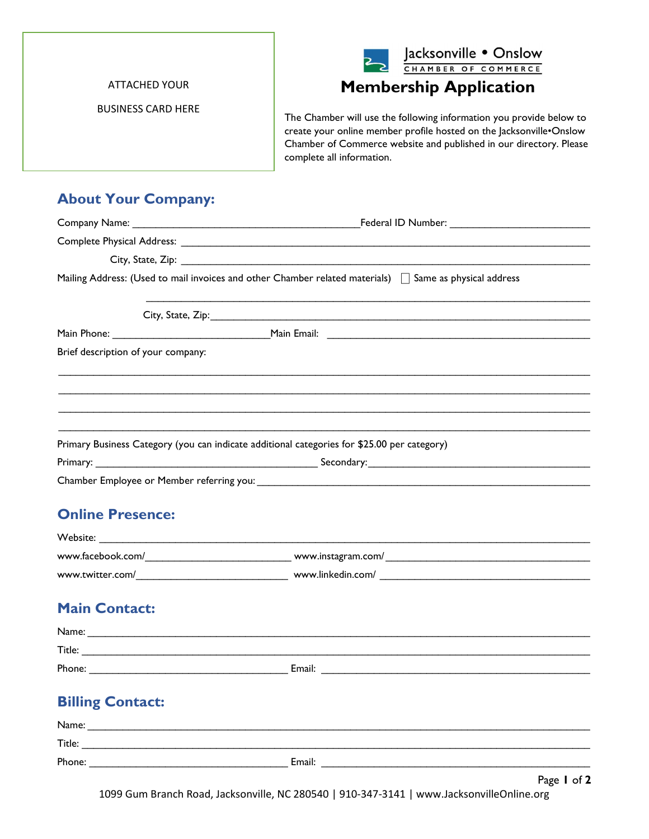

ATTACHED YOUR

BUSINESS CARD HERE

Membership Application

The Chamber will use the following information you provide below to create your online member profile hosted on the Jacksonville•Onslow Chamber of Commerce website and published in our directory. Please complete all information.

## About Your Company:

|                                                                                             | Mailing Address: (Used to mail invoices and other Chamber related materials)   Same as physical address |
|---------------------------------------------------------------------------------------------|---------------------------------------------------------------------------------------------------------|
|                                                                                             |                                                                                                         |
|                                                                                             |                                                                                                         |
| Brief description of your company:                                                          |                                                                                                         |
|                                                                                             |                                                                                                         |
| Primary Business Category (you can indicate additional categories for \$25.00 per category) |                                                                                                         |
|                                                                                             |                                                                                                         |
|                                                                                             |                                                                                                         |
| <b>Online Presence:</b>                                                                     |                                                                                                         |
|                                                                                             |                                                                                                         |
|                                                                                             |                                                                                                         |
|                                                                                             |                                                                                                         |
| <b>Main Contact:</b>                                                                        |                                                                                                         |
|                                                                                             |                                                                                                         |
|                                                                                             |                                                                                                         |
|                                                                                             |                                                                                                         |
| <b>Billing Contact:</b>                                                                     |                                                                                                         |
|                                                                                             |                                                                                                         |
|                                                                                             |                                                                                                         |
|                                                                                             |                                                                                                         |

Page 1 of 2 1099 Gum Branch Road, Jacksonville, NC 280540 | 910-347-3141 | www.JacksonvilleOnline.org